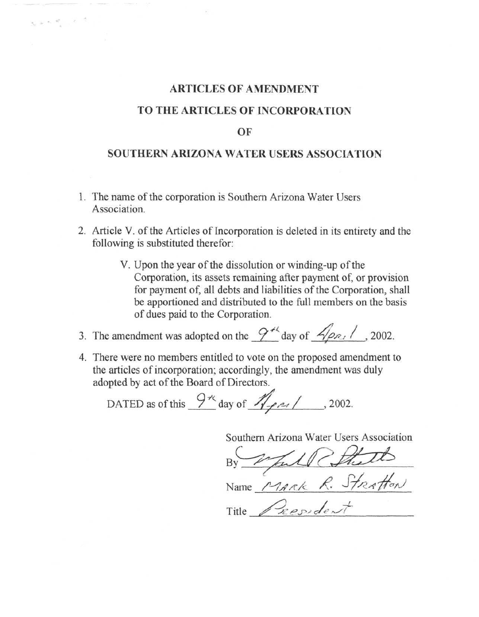# **ARTICLES OF AMENDMENT**

# **TO THE ARTICLES OF INCORPORATION**

## **OF**

# **SOUTHERN ARIZONA WATER USERS ASSOCIATION**

1. The name of the corporation is Southern Arizona Water Users Association.

 $\label{eq:expansion} \mathbf{X}_i \approx \mathbf{e}_i \mathbf{e}_i^T \cdots \mathbf{e}_i^T \mathbf{e}_i^T \mathbf{e}_i^T$ 

- 2. Article V. of the Articles of Incorporation is deleted in its entirety and the following is substituted therefor:
	- V. Upon the year of the dissolution or winding-up of the Corporation, its assets remaining after payment of, or provision for payment of, all debts and liabilities of the Corporation, shall be apportioned and distributed to the full members on the basis of dues paid to the Corporation.

3. The amendment was adopted on the  $\frac{9^{4k}}{2}$  day of  $\frac{6}{2}$ // , 2002.

4. There were no members entitled to vote on the proposed amendment to the articles of incorporation; accordingly, the amendment was duly adopted by act of the Board of Directors.

DATED as of this  $\frac{9\pi}{4}$  day of  $\frac{7\pi}{4}$  / 2002.

Southern Arizona Water Users Association<br>By Full Church<br>Name Mark R. Stratton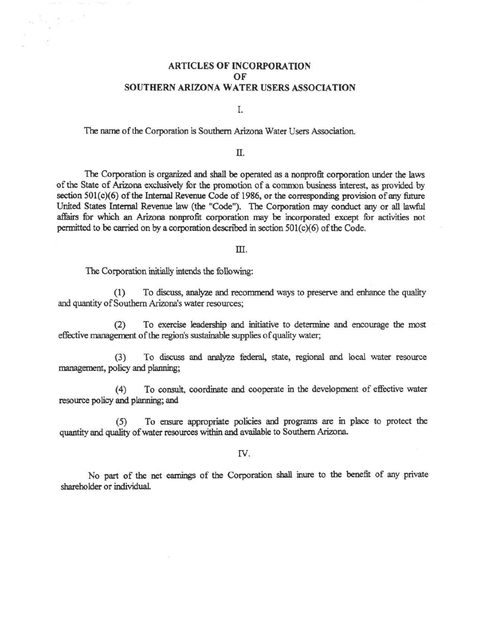## ARTICLES OF INCORPORATION OF SOUTHERN ARIZONA WATER USERS ASSOCIATION

I.

The name of the Corporation is Southern Arizona Water Users Association.

Π.

The Corporation is organized and shall be operated as a nonprofit corporation under the laws of the State of Arizona exclusively for the promotion of a common business interest, as provided by section 501(c)(6) of the Internal Revenue Code of 1986, or the corresponding provision of any future United States Internal Revenue law (the "Code"). The Corporation may conduct any or all lawful affairs for which an Arizona nonprofit corporation may be incorporated except for activities not permitted to be carried on by a corporation described in section 501(c)(6) of the Code.

### m.

The Corporation initially intends the following:

 $\label{eq:12} \frac{\hbar}{\omega_{\rm m}}\left[\frac{\hbar}{2}\frac{\omega_{\rm m}}{\omega_{\rm m}}\right] \frac{\hbar}{\omega_{\rm m}} = \frac{1}{2}\left[\frac{\hbar}{\omega_{\rm m}}\right]$ 

(1) To discuss, analyze and recommend ways to preserve and enhance the quality and quantity of Southern Arizona's water resources;

(2) To exercise leadership and initiative to determine and encourage the most effective management of the region's sustainable supplies of quality water;

(3) To discuss and analyze federal, state, regional and local water resource management, policy and planning;

(4) To consult, coordinate and cooperate in the development of effective water resource policy and planning; and

(5) To ensure appropriate policies and programs are in place to protect the quantity and quality of water resources within and available to Southern Arizona

rv.

No part of the net earnings of the Corporation shall inure to the benefit of any private shareholder or individual.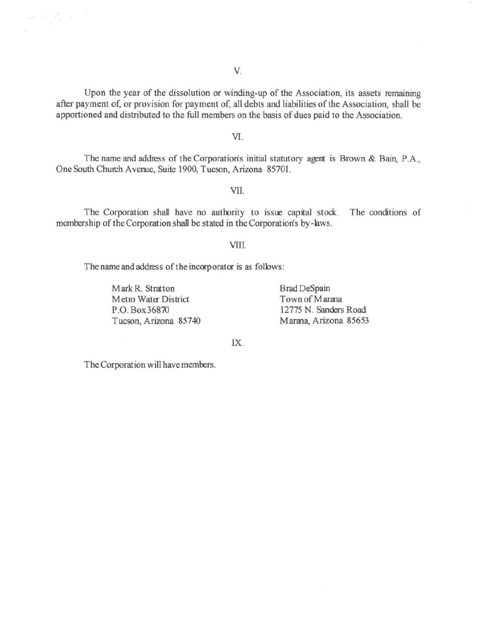Upon the year of the dissolution or winding-up of the Association, its assets remaining after payment of, or provision for payment of, all debts and liabilities of the Association, shall be apportioned and distributed to the full members on the basis of dues paid to the Association.

YL

The name and address of the Corporation's initial statutory agent is Brown & Bain, P.A., One South Church Avenue, Suite 1900, Tucson, Arizona 85701.

VII.

The Corporation shall have no authority to issue capital stock. The conditions of membership of the Corporation shafl be stated in the Corporation's by-laws.

## VIIL

The name and address of the incorp orator is as follows:

Mark R. Stratton Brad DeSpain Metro Water District Town of Marana Tucson, Arizona 85740 Marana, Arizona 85653

 $\label{eq:2.1} \frac{1}{\sqrt{2}}\sum_{\alpha\in\mathbb{Z}}\frac{1}{\sqrt{2}}\sum_{\alpha\in\mathbb{Z}}\frac{1}{\sqrt{2}}\sum_{\alpha\in\mathbb{Z}}\frac{1}{\sqrt{2}}\sum_{\alpha\in\mathbb{Z}}\frac{1}{\sqrt{2}}\sum_{\alpha\in\mathbb{Z}}\frac{1}{\sqrt{2}}\sum_{\alpha\in\mathbb{Z}}\frac{1}{\sqrt{2}}\sum_{\alpha\in\mathbb{Z}}\frac{1}{\sqrt{2}}\sum_{\alpha\in\mathbb{Z}}\frac{1}{\sqrt{2}}\sum_{\alpha\in\mathbb{Z}}\frac{1$ 

P.O. Box36870 12775 N. Sanders Road

IX.

The Corporation will have members.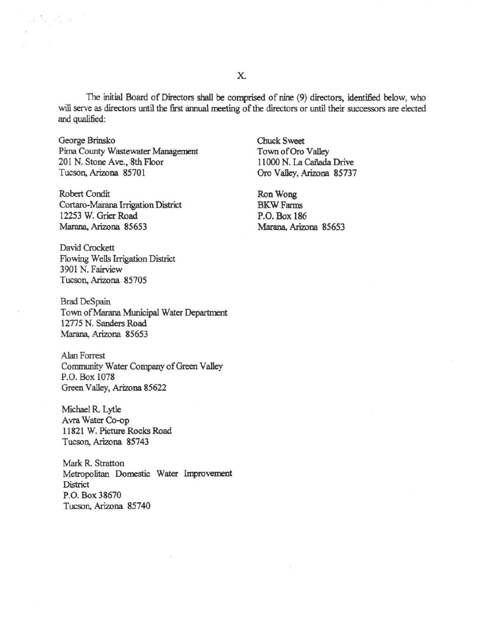The initial Board of Directors shall be comprised of nine (9) directors, identified below, who will serve as directors until the first annual meeting of the directors or until their successors are elected and qualified:

George Brinsko Chuck Sweet Pima County Wastewater Management Town of Oro Valley 201 N. Stone Ave., 8th Floor 11000 N. La Cañada Drive<br>Tucson. Arizona 85701 0ro Valley. Arizona 85737

 $\label{eq:3.1} \begin{array}{ll} \alpha & \alpha' & \alpha' \\ \alpha & \beta' & \alpha' \end{array}$ 

Robert Condit Ron Wong Cortaro-Marana Irrigation District BKW Farms 12253 W. Grier Road P.O. Box 186 Marana, Arizona 85653 Marana, Arizona 85653

David Crockett Flowing Wells Irrigation District 3901 N. Fairview Tucson, Arizona 85705

Brad DeSpain Town of Marana Municipal Water Department 12775 N.Sanders Road Marana, Arizona 85653

Alan Forrest Community Water Company of Green Valley P.O. Box 1078 Green Valley, Arizona 85622

Michael R. Lytle Avra Water Co-op 11821 W. Picture Rocks Road Tucson, Arizona 85743

Mark R. Stratton Metropolitan Domestic Water Improvement **District** P.O. Box 38670 Tucson, Arizona 85740

Oro Valley, Arizona 85737